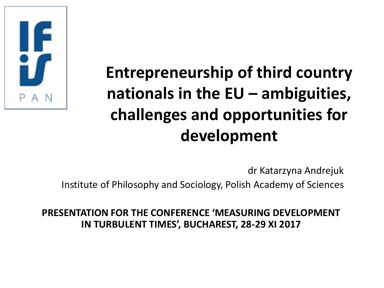

## **Entrepreneurship of third country nationals in the EU – ambiguities, challenges and opportunities for development**

dr Katarzyna Andrejuk

Institute of Philosophy and Sociology, Polish Academy of Sciences

**PRESENTATION FOR THE CONFERENCE 'MEASURING DEVELOPMENT IN TURBULENT TIMES', BUCHAREST, 28-29 XI 2017**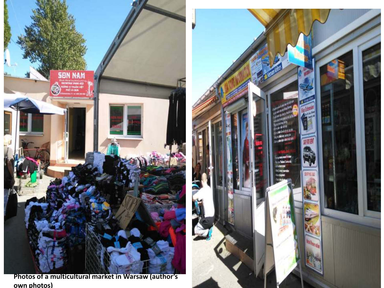

**Photos of a multicultural market in Warsaw (author's own photos)** 

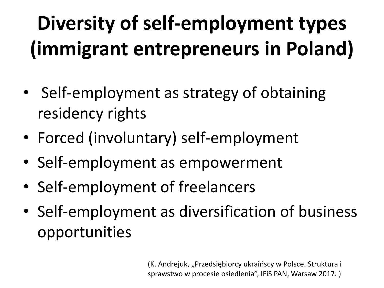## **Diversity of self-employment types (immigrant entrepreneurs in Poland)**

- Self-employment as strategy of obtaining residency rights
- Forced (involuntary) self-employment
- Self-employment as empowerment
- Self-employment of freelancers
- Self-employment as diversification of business opportunities

(K. Andrejuk, "Przedsiębiorcy ukraińscy w Polsce. Struktura i sprawstwo w procesie osiedlenia", IFiS PAN, Warsaw 2017. )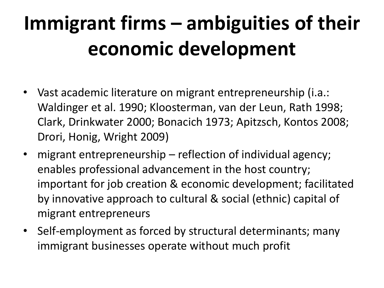## **Immigrant firms – ambiguities of their economic development**

- Vast academic literature on migrant entrepreneurship (i.a.: Waldinger et al. 1990; Kloosterman, van der Leun, Rath 1998; Clark, Drinkwater 2000; Bonacich 1973; Apitzsch, Kontos 2008; Drori, Honig, Wright 2009)
- migrant entrepreneurship reflection of individual agency; enables professional advancement in the host country; important for job creation & economic development; facilitated by innovative approach to cultural & social (ethnic) capital of migrant entrepreneurs
- Self-employment as forced by structural determinants; many immigrant businesses operate without much profit